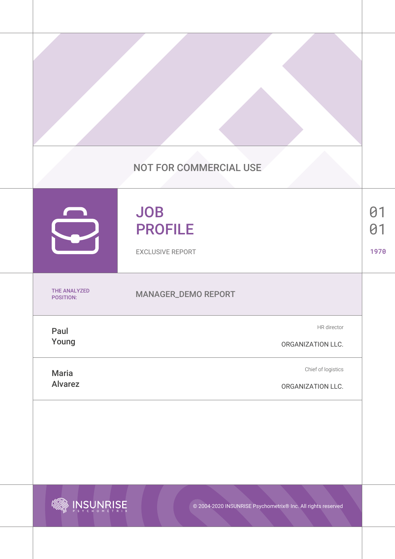|                                  | <b>NOT FOR COMMERCIAL USE</b>                           |                        |
|----------------------------------|---------------------------------------------------------|------------------------|
|                                  | <b>JOB</b><br><b>PROFILE</b><br><b>EXCLUSIVE REPORT</b> | 01<br>$\theta$<br>1970 |
| <b>THE ANALYZED</b><br>POSITION: | MANAGER_DEMO REPORT                                     |                        |
| Paul<br>Young                    | HR director<br>ORGANIZATION LLC.                        |                        |
| <b>Maria</b><br><b>Alvarez</b>   | Chief of logistics<br>ORGANIZATION LLC.                 |                        |



© 2004-2020 INSUNRISE Psychometrix® Inc. All rights reserved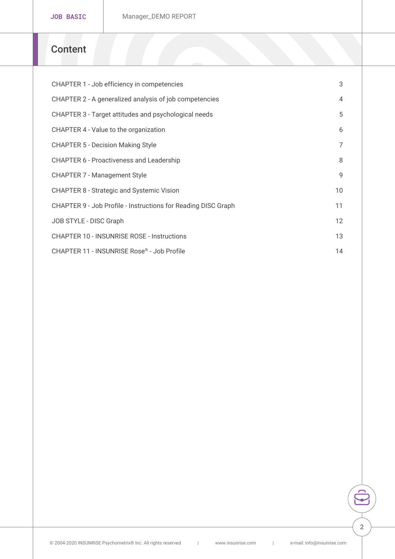### Content

| CHAPTER 1 - Job efficiency in competencies                    | 3              |
|---------------------------------------------------------------|----------------|
| CHAPTER 2 - A generalized analysis of job competencies        | $\overline{4}$ |
| CHAPTER 3 - Target attitudes and psychological needs          | 5              |
| CHAPTER 4 - Value to the organization                         | 6              |
| CHAPTER 5 - Decision Making Style                             | $\overline{7}$ |
| CHAPTER 6 - Proactiveness and Leadership                      | 8              |
| CHAPTER 7 - Management Style                                  | 9              |
| CHAPTER 8 - Strategic and Systemic Vision                     | 10             |
| CHAPTER 9 - Job Profile - Instructions for Reading DISC Graph |                |
| JOB STYLE - DISC Graph                                        | 12             |
| CHAPTER 10 - INSUNRISE ROSE - Instructions                    | 13             |
| CHAPTER 11 - INSUNRUSS Rosteile                               | 14             |

© 2004-2020 INSUNRISE Psychometrix® Inc. |All ri**ghts.inessem viesde.com| e-mail: info@insunris**e.com|

2

÷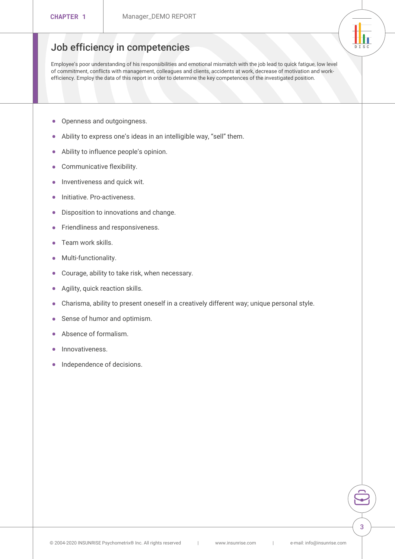### <span id="page-2-0"></span>Job efficiency in competencies

Employee s poor understanding of his responsibilities and emotional mismatc of commitment, conflicts with management, colleagues and clients, accidents at at  $\sim$ efficiency. Employ the data of this report in order to determine the key competences of the investigation.

DI SC

- " Openness and outgoingness.
- " Ability to express one s ideas in an intelligible way, sell them.
- " Ability to influence people s opinion.
- " Communicative flexibility.
- " Inventiveness and quick wit.
- " Initiative. Pro-activeness.
- " Disposition to innovations and change.
- " Friendliness and responsiveness.
- " Team work skills.
- " Multi-functionality.
- " Courage, ability to take risk, when necessary.
- " Agility, quick reaction skills.
- " Charisma, ability to present oneself in a creatively different way; unid
- " Sense of humor and optimism.
- " Absence of formalism.
- " Innovativeness.
- " Independence of decisions.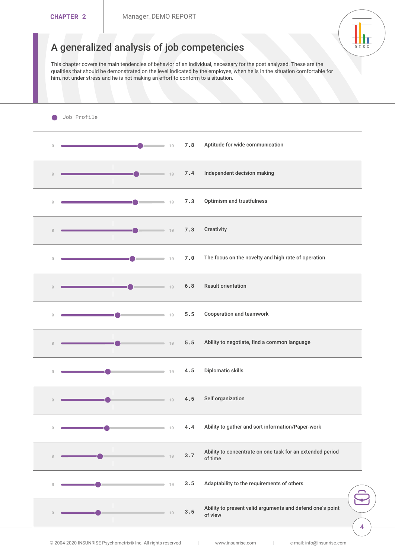## <span id="page-3-0"></span>A generalized analysis of job competenci

DI SC

This chapter covers the main tendencies of behavior of an individual, necess qualities that should be demonstrated on the level indicated by the employee him, not under stress and he is not making an effort to conform to a situation.

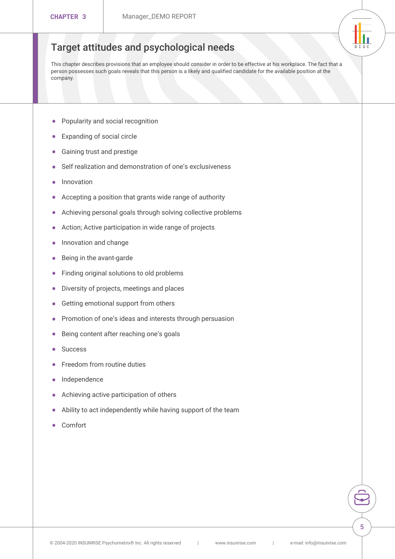#### <span id="page-4-0"></span>DI SC Target attitudes and psychological needs

This chapter describes provisions that an employee should consider in order person possesses such goals reveals that this person is a likely and qualified company.

- " Popularity and social recognition
- " Expanding of social circle
- " Gaining trust and prestige
- " Self realization and demonstration of one s exclusiveness
- " Innovation
- " Accepting a position that grants wide range of authority
- " Achieving personal goals through solving collective problems
- " Action; Active participation in wide range of projects
- " Innovation and change
- " Being in the avant-garde
- " Finding original solutions to old problems
- " Diversity of projects, meetings and places
- " Getting emotional support from others
- " Promotion of one s ideas and interests through persuasion
- " Being content after reaching one s goals
- " Success
- " Freedom from routine duties
- " Independence
- " Achieving active participation of others
- " Ability to act independently while having support of the team
- " Comfort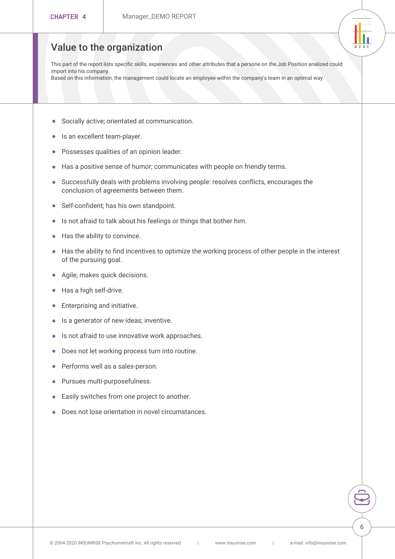### <span id="page-5-0"></span>Value to the organization

This part of the report lists specific skills, experiences and other attributes import into his company. Based on this information, the management could locate an employee within the company s

- " Socially active; orientated at communication.
- " Is an excellent team-player.
- " Possesses qualities of an opinion leader.
- " Has a positive sense of humor; communicates with people on friendly

DI SC

- " Successfully deals with problems involving people: resolves conflicts, conclusion of agreements between them.
- " Self-confident; has his own standpoint.
- " Is not afraid to talk about his feelings or things that bother him.
- " Has the ability to convince.
- " Has the ability to find incentives to optimize the working process of o of the pursuing goal.
- " Agile; makes quick decisions.
- " Has a high self-drive.
- " Enterprising and initiative.
- " Is a generator of new ideas; inventive.
- " Is not afraid to use innovative work approaches.
- " Does not let working process turn into routine.
- " Performs well as a sales-person.
- " Pursues multi-purposefulness.
- " Easily switches from one project to another.
- " Does not lose orientation in novel circumstances.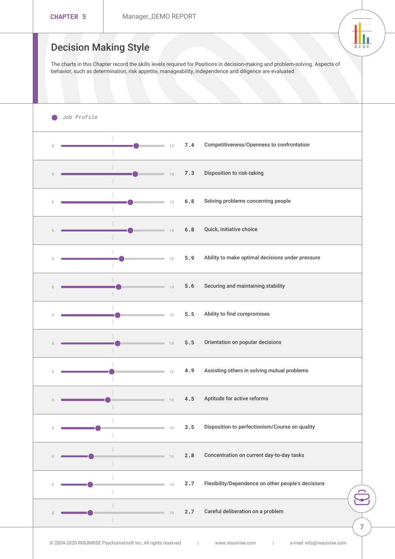<span id="page-6-0"></span>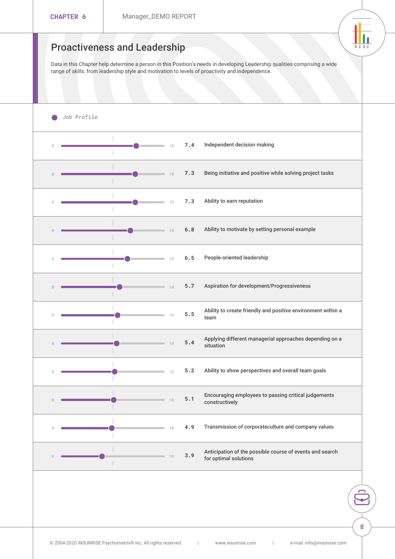<span id="page-7-0"></span>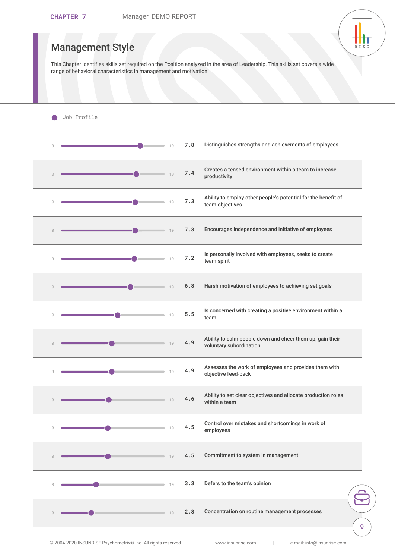<span id="page-8-0"></span>

| CHAPTER 7   |                  |             | Manager_DEMO REPORT                                                             |                          |
|-------------|------------------|-------------|---------------------------------------------------------------------------------|--------------------------|
|             | Management Style |             | This Chapter identifies skills set required on the Position analyzed in the are | DI SC                    |
|             |                  |             | range of behavioral characteristics in management and motivation.               |                          |
| Job Profile |                  |             |                                                                                 |                          |
|             |                  | $-10$       | 7.8 Distinguishes strengths and achievements of empl                            |                          |
|             |                  | 7.4<br>10   | Creates a tensed environment within a team to inc<br>productivity               |                          |
|             |                  | 7.3         | Ability to employ other people's potential for the I<br>team objectives         |                          |
|             |                  | $\sim$ 10   | 7.3 Encourages independence and initiative of employ                            |                          |
|             |                  | 7.2<br>10   | Is personally involved with employees, seeks to cr<br>team spirit               |                          |
|             |                  | 10          | 6.8 Harsh motivation of employees to achieving set go                           |                          |
|             |                  | $5.5$<br>10 | Is concerned with creating a positive environment<br>team                       |                          |
|             |                  | 4.9<br>10   | Ability to calm people down and cheer them up, ga<br>voluntary subordination    |                          |
|             |                  | 4.9<br>10   | Assesses the work of employees and provides ther<br>objective feed-back         |                          |
|             |                  | 4.6<br>10   | Ability to set clear objectives and allocate produc<br>within a team            |                          |
|             |                  | 4.5<br>10   | Control over mistakes and shortcomings in work of<br>employees                  |                          |
|             |                  | 10          | 4.5 Commitment to system in management                                          |                          |
|             |                  | 10          | 3.3 Defers to the team's opinion                                                | $\overline{\phantom{0}}$ |
|             |                  | 10          | 2.8 Concentration on routine management processes                               |                          |
|             |                  |             |                                                                                 |                          |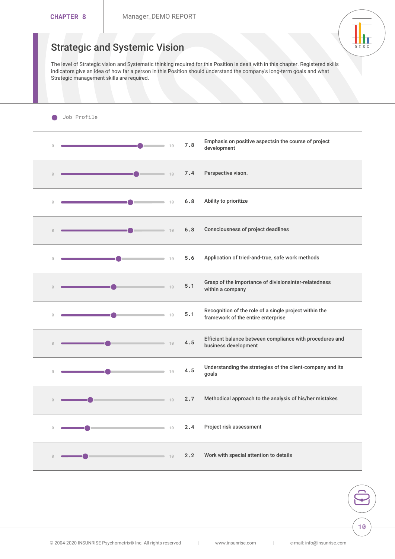<span id="page-9-0"></span>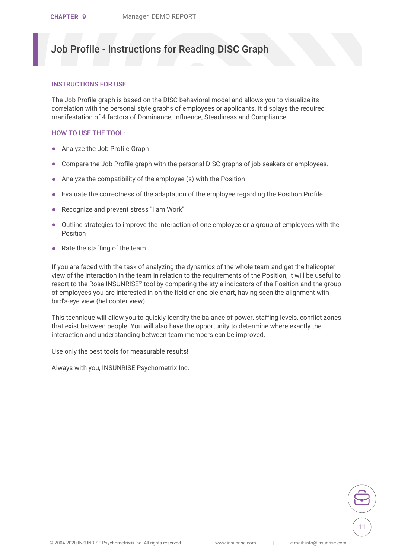### <span id="page-10-0"></span>Job Profile - Instructions for Reading DIS

#### INSTRUCTIONS FOR USE

The Job Profile graph is based on the DISC behavioral model and allows correlation with the personal style graphs of employees or applicants. It manifestation of 4 factors of Dominance, Influence, Steadiness and Com

#### HOW TO USE THE TOOL:

- " Analyze the Job Profile Graph
- " Compare the Job Profile graph with the personal DISC graphs of job s
- " Analyze the compatibility of the employee (s) with the Position
- $"$  Evaluate the correctness of the adaptation of the employee regarding
- " Recognize and prevent stress "I am Work"
- " Outline strategies to improve the interaction of one employee  $\alpha$  a group Position
- " Rate the staffing of the team

If you are faced with the task of analyzing the dynamics of the whole te view of the interaction in the team in relation to the requirements of the resort to the Rose<sup>®</sup> NoSoU NbPy I 8 Emparing the style indicators of the Positio of employees you are interested in on the field of one pie chart, having bird's-eye view (helicopter view).

This technique will allow you to quickly identify the balance of power, s that exist between people. You will also have the opportunity to determine interaction and understanding between team members can be improved.

Use only the best tools for measurable results!

Always with you, INSUNRISE Psychometrix Inc.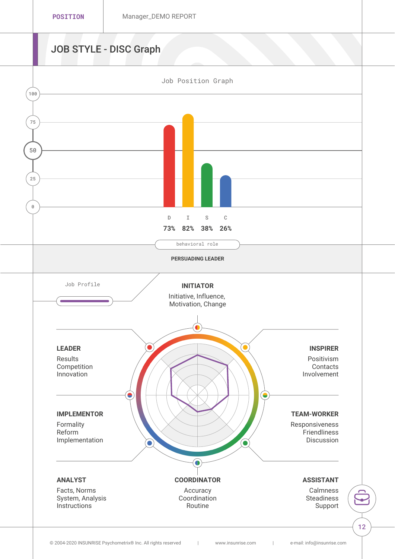# JOB STYLE - DISC Graph

<span id="page-11-0"></span>

© 2004–2020 INSUNRISE Psychometrix® Inc. |All ri**ghts resenviesde.com| [e-mail: info@insunrise](mailto:info@insunrise.com).com**|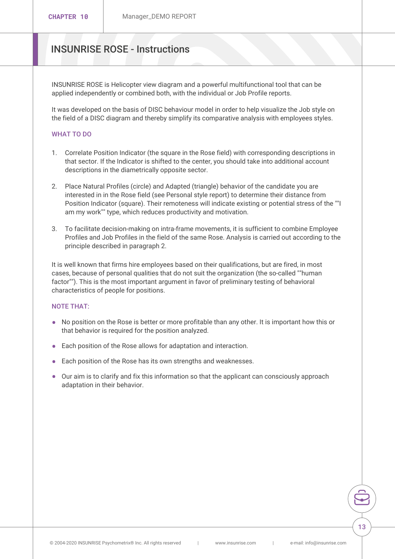### <span id="page-12-0"></span>INSUNRISE ROSE - Instructions

INSUNRISE ROSE is Helicopter view diagram and a powerful multifunction applied independently or combined both, with the individual or Job Profi

It was developed on the basis of DISC behaviour model in order to help the field of a DISC diagram and thereby simplify its comparative analysi

#### WHAT TO DO

- 1. Correlate Position Indicator (the square in the Rose field) with corres that sector. If the Indicator is shifted to the center, you should take descriptions in the diametrically opposite sector.
- 2. Place Natural Profiles (circle) and Adapted (triangle) behavior of the interested in in the Rose field (see Personal style report) to determine Position Indicator (square). Their remoteness will indicate existing o am my work"" type, which reduces productivity and motivation.
- 3. To facilitate decision-making on intra-frame movements, it is sufficie Profiles and Job Profiles in the field of the same Rose. Analysis is car principle described in paragraph 2.

It is well known that firms hire employees based on their qualifications, cases, because of personal qualities that do not suit the organization (t factor""). This is the most important argument in favor of preliminary te characteristics of people for positions.

### NOTE THAT:

- " No position on the Rose is better or more profitable than any other. It that behavior is required for the position analyzed.
- " Each position of the Rose allows for adaptation and interaction.
- " Each position of the Rose has its own strengths and weaknesses.
- " Our aim is to clarify and fix this information so that the applicant can adaptation in their behavior.